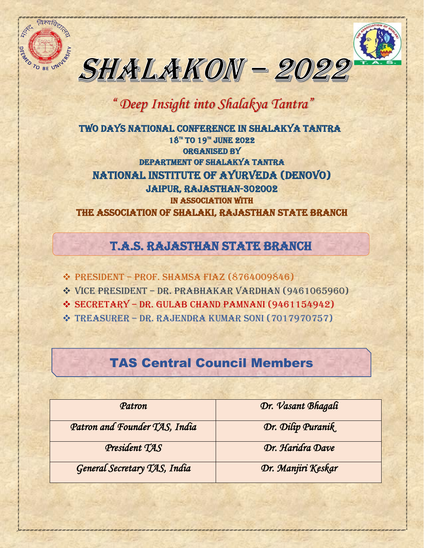

 $\overline{\phantom{a}}$ 



## *" Deep Insight into Shalakya Tantra"*

 TWO DAYS national CONFERENCE IN SHALAKYA TANTRA  $18^{\mathrm{m}}$  TO  $19^{\mathrm{m}}$  JUNE 2022 Organised By Department of Shalakya tantra NATIONAL INSTITUTE OF AYURVEDA (DENOVO) JAIPUR, RAJASTHAN-302002 In association with The association of Shalaki, Rajasthan state Branch

## T.A.S. RAJASTHAN STATE BRANCH

❖ PRESIDENT – Prof. SHAMSA FIAZ (8764009846)

- ❖ VICE PRESIDENT DR. PRABHAKAR VARDHAN (9461065960)
- ❖ SECRETaRY DR. GULAB CHAND PAMNANI (9461154942)
- ❖ TREASURER DR. RAJENDRA KUMAR SONI (7017970757)

## TAS Central Council Members

| Patron                        | Dr. Vasant Bhagali |
|-------------------------------|--------------------|
| Patron and Founder TAS, India | Dr. Dilip Puranik  |
| President TAS                 | Dr. Haridra Dave   |
| General Secretary TAS, India  | Dr. Manjiri Keskar |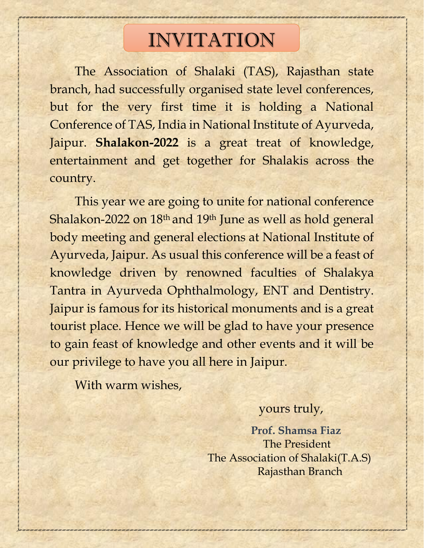# INVITATION

The Association of Shalaki (TAS), Rajasthan state branch, had successfully organised state level conferences, but for the very first time it is holding a National Conference of TAS, India in National Institute of Ayurveda, Jaipur. **Shalakon-2022** is a great treat of knowledge, entertainment and get together for Shalakis across the country.

This year we are going to unite for national conference Shalakon-2022 on 18th and 19th June as well as hold general body meeting and general elections at National Institute of Ayurveda, Jaipur. As usual this conference will be a feast of knowledge driven by renowned faculties of Shalakya Tantra in Ayurveda Ophthalmology, ENT and Dentistry. Jaipur is famous for its historical monuments and is a great tourist place. Hence we will be glad to have your presence to gain feast of knowledge and other events and it will be our privilege to have you all here in Jaipur.

With warm wishes,

## yours truly,

 **Prof. Shamsa Fiaz** The President The Association of Shalaki(T.A.S) Rajasthan Branch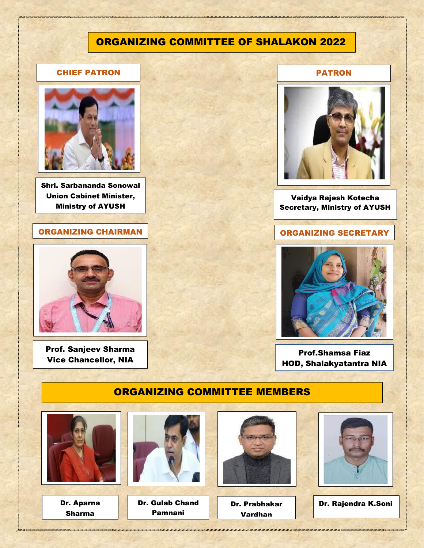#### ORGANIZING COMMITTEE OF SHALAKON 2022

#### CHIEF PATRON



Shri. Sarbananda Sonowal Union Cabinet Minister, Ministry of AYUSH

#### ORGANIZING CHAIRMAN **ORGANIZING SECRETARY**



Prof. Sanjeev Sharma Vice Chancellor, NIA

#### PATRON



#### Vaidya Rajesh Kotecha Secretary, Ministry of AYUSH



Prof.Shamsa Fiaz HOD, Shalakyatantra NIA

#### ORGANIZING COMMITTEE MEMBERS

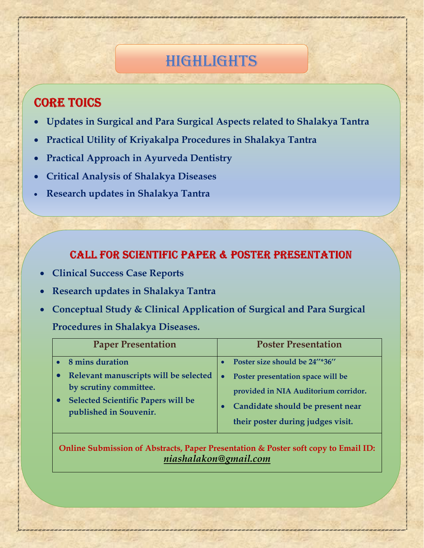## HIGHLIGHTS

## **CORE TOICS**

 $\overline{\phantom{0}}$ 

- **Updates in Surgical and Para Surgical Aspects related to Shalakya Tantra**
- **Practical Utility of Kriyakalpa Procedures in Shalakya Tantra**
- **Practical Approach in Ayurveda Dentistry**
- **Critical Analysis of Shalakya Diseases**
- **Research updates in Shalakya Tantra**

## **CALL FOR SCIENTIFIC PAPER & POSTER PRESENTATION**

- **Clinical Success Case Reports**
- **Research updates in Shalakya Tantra**
- **Conceptual Study & Clinical Application of Surgical and Para Surgical**

#### **Procedures in Shalakya Diseases.**

| <b>Paper Presentation</b>                                                                                                              |           | <b>Poster Presentation</b>                                                                                                                         |
|----------------------------------------------------------------------------------------------------------------------------------------|-----------|----------------------------------------------------------------------------------------------------------------------------------------------------|
| 8 mins duration                                                                                                                        |           | Poster size should be 24"*36"                                                                                                                      |
| Relevant manuscripts will be selected<br>by scrutiny committee.<br><b>Selected Scientific Papers will be</b><br>published in Souvenir. | $\bullet$ | Poster presentation space will be<br>provided in NIA Auditorium corridor.<br>Candidate should be present near<br>their poster during judges visit. |

**Online Submission of Abstracts, Paper Presentation & Poster soft copy to Email ID:**  *niashalakon@gmail.com*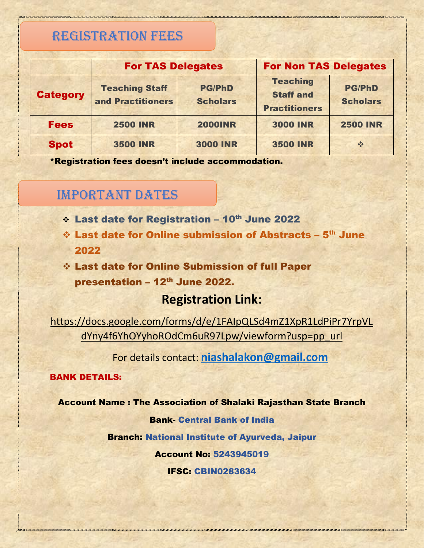## REGISTRATION FEES

|                 | <b>For TAS Delegates</b>                   |                                  | <b>For Non TAS Delegates</b>                                |                                  |
|-----------------|--------------------------------------------|----------------------------------|-------------------------------------------------------------|----------------------------------|
| <b>Category</b> | <b>Teaching Staff</b><br>and Practitioners | <b>PG/PhD</b><br><b>Scholars</b> | <b>Teaching</b><br><b>Staff and</b><br><b>Practitioners</b> | <b>PG/PhD</b><br><b>Scholars</b> |
| <b>Fees</b>     | <b>2500 INR</b>                            | <b>2000INR</b>                   | <b>3000 INR</b>                                             | <b>2500 INR</b>                  |
| <b>Spot</b>     | <b>3500 INR</b>                            | <b>3000 INR</b>                  | <b>3500 INR</b>                                             | $\frac{1}{2}$                    |

\*Registration fees doesn't include accommodation.

## IMPORTANT DATES

- ↓ Last date for Registration 10<sup>th</sup> June 2022
- $\div$  Last date for Online submission of Abstracts  $5<sup>th</sup>$  June 2022

❖ Last date for Online Submission of full Paper presentation - 12<sup>th</sup> June 2022.

#### **Registration Link:**

[https://docs.google.com/forms/d/e/1FAIpQLSd4mZ1XpR1LdPiPr7YrpVL](https://docs.google.com/forms/d/e/1FAIpQLSd4mZ1XpR1LdPiPr7YrpVLdYny4f6YhOYyhoROdCm6uR97Lpw/viewform?usp=pp_url) [dYny4f6YhOYyhoROdCm6uR97Lpw/viewform?usp=pp\\_url](https://docs.google.com/forms/d/e/1FAIpQLSd4mZ1XpR1LdPiPr7YrpVLdYny4f6YhOYyhoROdCm6uR97Lpw/viewform?usp=pp_url)

For details contact: **[niashalakon@gmail.com](mailto:niashalakon@gmail.com)**

#### BANK DETAILS:

#### Account Name : The Association of Shalaki Rajasthan State Branch

#### Bank- Central Bank of India

Branch: National Institute of Ayurveda, Jaipur

Account No: 5243945019

#### IFSC: CBIN0283634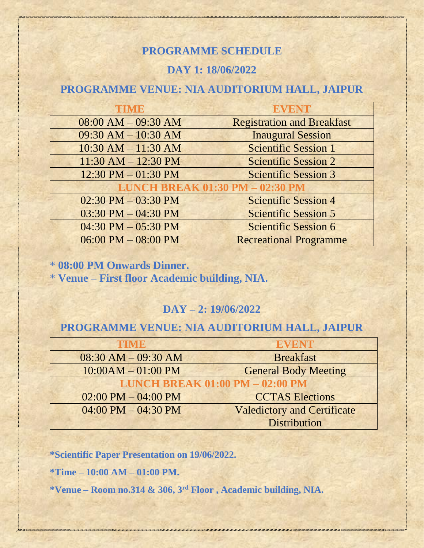#### **PROGRAMME SCHEDULE**

#### **DAY 1: 18/06/2022**

### **PROGRAMME VENUE: NIA AUDITORIUM HALL, JAIPUR**

| TIME                                   | <b>EVENT</b>                      |  |
|----------------------------------------|-----------------------------------|--|
| $08:00$ AM $- 09:30$ AM                | <b>Registration and Breakfast</b> |  |
| $09:30$ AM $- 10:30$ AM                | <b>Inaugural Session</b>          |  |
| $10:30$ AM $- 11:30$ AM                | <b>Scientific Session 1</b>       |  |
| $11:30$ AM $- 12:30$ PM                | <b>Scientific Session 2</b>       |  |
| $12:30 \text{ PM} - 01:30 \text{ PM}$  | <b>Scientific Session 3</b>       |  |
| <b>LUNCH BREAK 01:30 PM - 02:30 PM</b> |                                   |  |
| $02:30$ PM $-03:30$ PM                 | <b>Scientific Session 4</b>       |  |
| $03:30 \text{ PM} - 04:30 \text{ PM}$  | <b>Scientific Session 5</b>       |  |
| $04:30$ PM $-05:30$ PM                 | <b>Scientific Session 6</b>       |  |
| $06:00$ PM $- 08:00$ PM                | <b>Recreational Programme</b>     |  |

\* **08:00 PM Onwards Dinner.**

\* **Venue – First floor Academic building, NIA.**

#### **DAY – 2: 19/06/2022**

#### **PROGRAMME VENUE: NIA AUDITORIUM HALL, JAIPUR**

| TIME                                   | <b>EVENT</b>                       |  |
|----------------------------------------|------------------------------------|--|
| $08:30$ AM $-09:30$ AM                 | <b>Breakfast</b>                   |  |
| $10:00AM - 01:00 PM$                   | <b>General Body Meeting</b>        |  |
| <b>LUNCH BREAK 01:00 PM - 02:00 PM</b> |                                    |  |
| $02:00$ PM $- 04:00$ PM                | <b>CCTAS Elections</b>             |  |
| $04:00$ PM $- 04:30$ PM                | <b>Valedictory and Certificate</b> |  |
|                                        | <b>Distribution</b>                |  |

**\*Scientific Paper Presentation on 19/06/2022.**

**\*Time – 10:00 AM – 01:00 PM.**

**\*Venue – Room no.314 & 306, 3rd Floor , Academic building, NIA.**